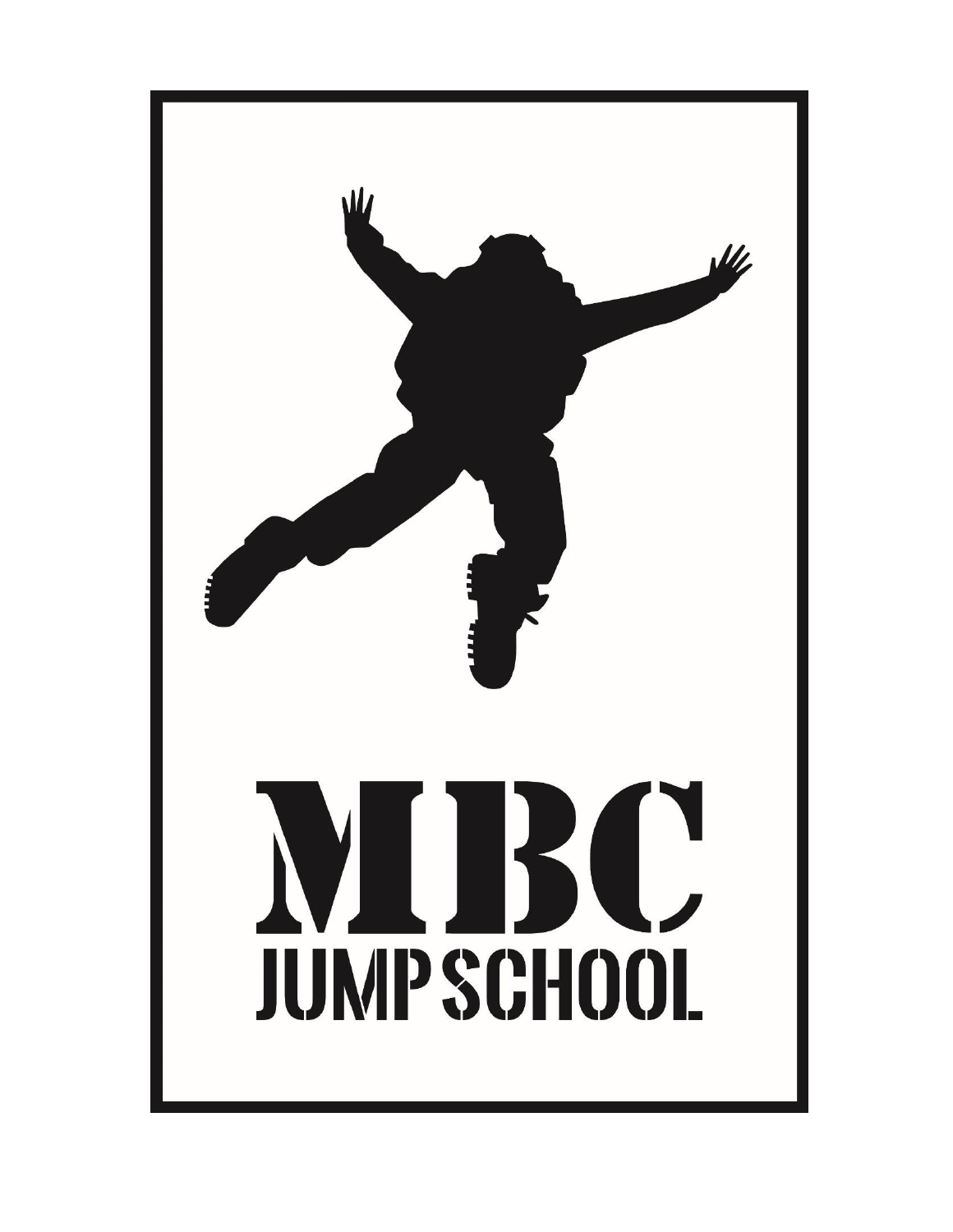